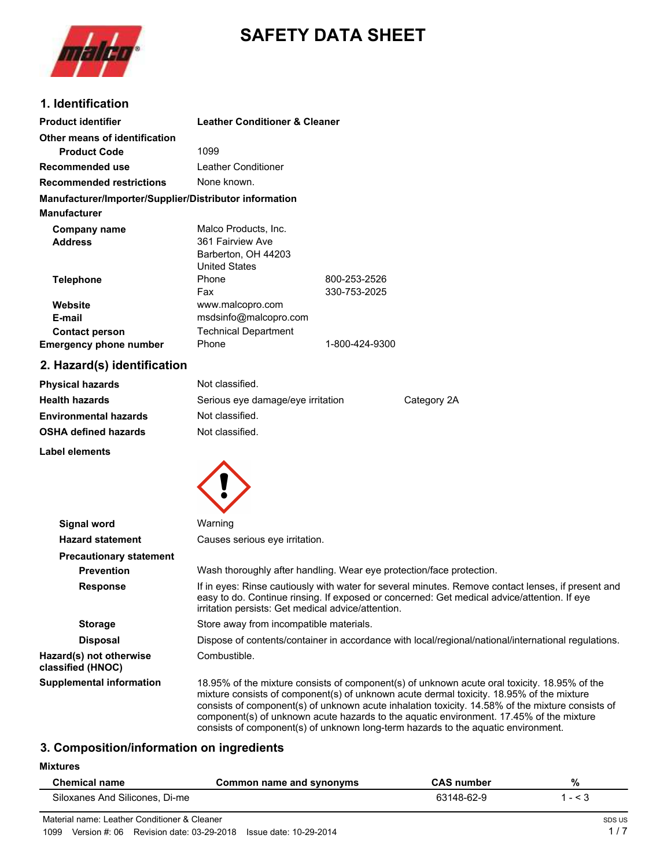

# **SAFETY DATA SHEET**

# **1. Identification**

| <b>Product identifier</b>                              | <b>Leather Conditioner &amp; Cleaner</b> |                |
|--------------------------------------------------------|------------------------------------------|----------------|
| Other means of identification                          |                                          |                |
| <b>Product Code</b>                                    | 1099                                     |                |
| Recommended use                                        | Leather Conditioner                      |                |
| <b>Recommended restrictions</b>                        | None known.                              |                |
| Manufacturer/Importer/Supplier/Distributor information |                                          |                |
| <b>Manufacturer</b>                                    |                                          |                |
| Company name                                           | Malco Products, Inc.                     |                |
| <b>Address</b>                                         | 361 Fairview Ave                         |                |
|                                                        | Barberton, OH 44203                      |                |
|                                                        | <b>United States</b>                     |                |
| <b>Telephone</b>                                       | Phone                                    | 800-253-2526   |
|                                                        | Fax                                      | 330-753-2025   |
| Website                                                | www.malcopro.com                         |                |
| E-mail                                                 | msdsinfo@malcopro.com                    |                |
| <b>Contact person</b>                                  | <b>Technical Department</b>              |                |
| <b>Emergency phone number</b>                          | Phone                                    | 1-800-424-9300 |

## **2. Eazard(s) identification**

| <b>Physical hazards</b>      | Not classified.                   |             |
|------------------------------|-----------------------------------|-------------|
| <b>Health hazards</b>        | Serious eye damage/eye irritation | Category 2A |
| <b>Environmental hazards</b> | Not classified.                   |             |
| <b>OSHA defined hazards</b>  | Not classified.                   |             |
|                              |                                   |             |

**Label elements**



| <b>Signal word</b>                           | Warning                                                                                                                                                                                                                                                                                                                                                                                 |  |
|----------------------------------------------|-----------------------------------------------------------------------------------------------------------------------------------------------------------------------------------------------------------------------------------------------------------------------------------------------------------------------------------------------------------------------------------------|--|
| <b>Hazard statement</b>                      | Causes serious eye irritation.                                                                                                                                                                                                                                                                                                                                                          |  |
| <b>Precautionary statement</b>               |                                                                                                                                                                                                                                                                                                                                                                                         |  |
| <b>Prevention</b>                            | Wash thoroughly after handling. Wear eye protection/face protection.                                                                                                                                                                                                                                                                                                                    |  |
| <b>Response</b>                              | If in eyes: Rinse cautiously with water for several minutes. Remove contact lenses, if present and<br>easy to do. Continue rinsing. If exposed or concerned: Get medical advice/attention. If eye<br>irritation persists: Get medical advice/attention.                                                                                                                                 |  |
| <b>Storage</b>                               | Store away from incompatible materials.                                                                                                                                                                                                                                                                                                                                                 |  |
| <b>Disposal</b>                              | Dispose of contents/container in accordance with local/regional/national/international regulations.                                                                                                                                                                                                                                                                                     |  |
| Hazard(s) not otherwise<br>classified (HNOC) | Combustible.                                                                                                                                                                                                                                                                                                                                                                            |  |
| <b>Supplemental information</b>              | 18.95% of the mixture consists of component(s) of unknown acute oral toxicity. 18.95% of the<br>mixture consists of component(s) of unknown acute dermal toxicity. 18.95% of the mixture<br>consists of component(s) of unknown acute inhalation toxicity. 14.58% of the mixture consists of<br>component(s) of unknown acute hazards to the aquatic environment. 17.45% of the mixture |  |

# **3. Composition/information on ingredients**

**Mixtures**

| <b>Chemical name</b>           | Common name and synonyms | <b>CAS number</b> | %       |
|--------------------------------|--------------------------|-------------------|---------|
| Siloxanes And Silicones, Di-me |                          | 63148-62-9        | $- < 3$ |

consists of component(s) of unknown long-term hazards to the aquatic environment.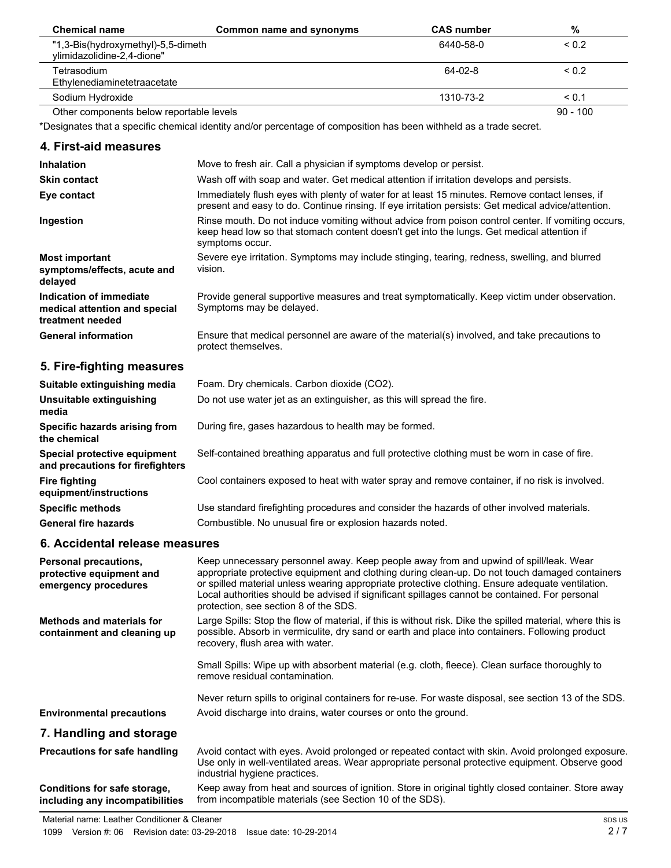| <b>Chemical name</b>                                             | Common name and synonyms | <b>CAS</b> number | %          |
|------------------------------------------------------------------|--------------------------|-------------------|------------|
| "1,3-Bis(hydroxymethyl)-5,5-dimeth<br>ylimidazolidine-2,4-dione" |                          | 6440-58-0         | ${}_{0.2}$ |
| Tetrasodium<br>Ethylenediaminetetraacetate                       |                          | 64-02-8           | ${}_{0.2}$ |
| Sodium Hydroxide                                                 |                          | 1310-73-2         | < 0.1      |
| Other components below reportable levels                         |                          |                   | $90 - 100$ |

\*Designates that a specific chemical identity and/or percentage of composition has been withheld as a trade secret.

## **4. First-aid measures**

| <b>Inhalation</b>                                                            | Move to fresh air. Call a physician if symptoms develop or persist.                                                                                                                                                 |
|------------------------------------------------------------------------------|---------------------------------------------------------------------------------------------------------------------------------------------------------------------------------------------------------------------|
| <b>Skin contact</b>                                                          | Wash off with soap and water. Get medical attention if irritation develops and persists.                                                                                                                            |
| Eye contact                                                                  | Immediately flush eyes with plenty of water for at least 15 minutes. Remove contact lenses, if<br>present and easy to do. Continue rinsing. If eye irritation persists: Get medical advice/attention.               |
| Ingestion                                                                    | Rinse mouth. Do not induce vomiting without advice from poison control center. If vomiting occurs,<br>keep head low so that stomach content doesn't get into the lungs. Get medical attention if<br>symptoms occur. |
| <b>Most important</b><br>symptoms/effects, acute and<br>delayed              | Severe eye irritation. Symptoms may include stinging, tearing, redness, swelling, and blurred<br>vision.                                                                                                            |
| Indication of immediate<br>medical attention and special<br>treatment needed | Provide general supportive measures and treat symptomatically. Keep victim under observation.<br>Symptoms may be delayed.                                                                                           |
| <b>General information</b>                                                   | Ensure that medical personnel are aware of the material(s) involved, and take precautions to<br>protect themselves.                                                                                                 |

# **5. Fire-fighting measures**

| Suitable extinguishing media                                     | Foam. Dry chemicals. Carbon dioxide (CO2).                                                     |
|------------------------------------------------------------------|------------------------------------------------------------------------------------------------|
| Unsuitable extinguishing<br>media                                | Do not use water jet as an extinguisher, as this will spread the fire.                         |
| Specific hazards arising from<br>the chemical                    | During fire, gases hazardous to health may be formed.                                          |
| Special protective equipment<br>and precautions for firefighters | Self-contained breathing apparatus and full protective clothing must be worn in case of fire.  |
| <b>Fire fighting</b><br>equipment/instructions                   | Cool containers exposed to heat with water spray and remove container, if no risk is involved. |
| <b>Specific methods</b>                                          | Use standard firefighting procedures and consider the hazards of other involved materials.     |
| <b>General fire hazards</b>                                      | Combustible. No unusual fire or explosion hazards noted.                                       |

## **6. Accidental release measures**

| Personal precautions,<br>protective equipment and<br>emergency procedures | Keep unnecessary personnel away. Keep people away from and upwind of spill/leak. Wear<br>appropriate protective equipment and clothing during clean-up. Do not touch damaged containers<br>or spilled material unless wearing appropriate protective clothing. Ensure adequate ventilation.<br>Local authorities should be advised if significant spillages cannot be contained. For personal<br>protection, see section 8 of the SDS. |
|---------------------------------------------------------------------------|----------------------------------------------------------------------------------------------------------------------------------------------------------------------------------------------------------------------------------------------------------------------------------------------------------------------------------------------------------------------------------------------------------------------------------------|
| <b>Methods and materials for</b><br>containment and cleaning up           | Large Spills: Stop the flow of material, if this is without risk. Dike the spilled material, where this is<br>possible. Absorb in vermiculite, dry sand or earth and place into containers. Following product<br>recovery, flush area with water.                                                                                                                                                                                      |
|                                                                           | Small Spills: Wipe up with absorbent material (e.g. cloth, fleece). Clean surface thoroughly to<br>remove residual contamination.                                                                                                                                                                                                                                                                                                      |
| <b>Environmental precautions</b>                                          | Never return spills to original containers for re-use. For waste disposal, see section 13 of the SDS.<br>Avoid discharge into drains, water courses or onto the ground.                                                                                                                                                                                                                                                                |
| 7. Handling and storage                                                   |                                                                                                                                                                                                                                                                                                                                                                                                                                        |
| <b>Precautions for safe handling</b>                                      | Avoid contact with eyes. Avoid prolonged or repeated contact with skin. Avoid prolonged exposure.<br>Use only in well-ventilated areas. Wear appropriate personal protective equipment. Observe good<br>industrial hygiene practices.                                                                                                                                                                                                  |
| Conditions for safe storage,<br>including any incompatibilities           | Keep away from heat and sources of ignition. Store in original tightly closed container. Store away<br>from incompatible materials (see Section 10 of the SDS).                                                                                                                                                                                                                                                                        |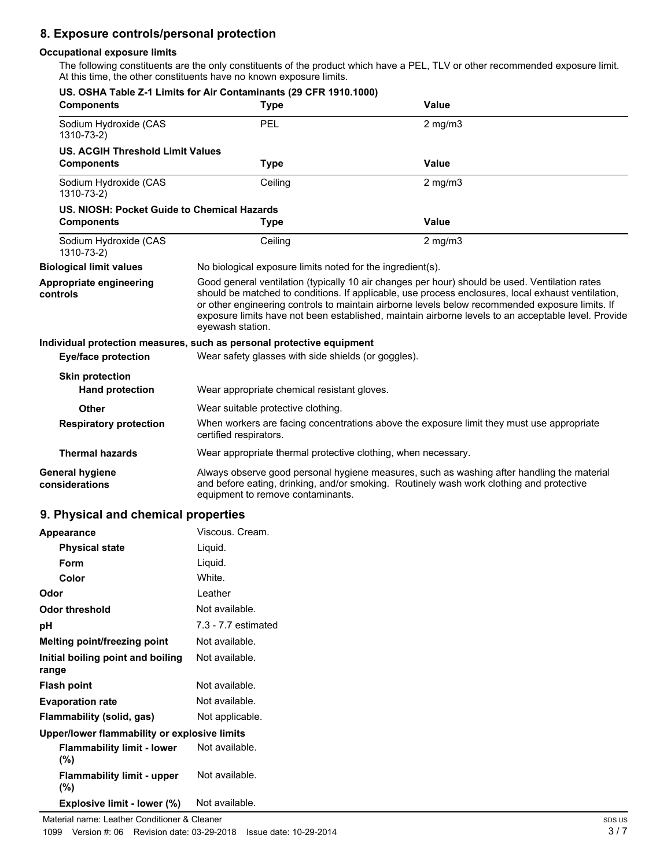# **8. Exposure controls/personal protection**

## **Occupational exposure limits**

The following constituents are the only constituents of the product which have a PEL, TLV or other recommended exposure limit. At this time, the other constituents have no known exposure limits.

| US. OSHA Table Z-1 Limits for Air Contaminants (29 CFR 1910.1000)<br><b>Components</b> | <b>Type</b>                                                           | Value                                                                                                                                                                                                                                                                                                                                                                                                          |
|----------------------------------------------------------------------------------------|-----------------------------------------------------------------------|----------------------------------------------------------------------------------------------------------------------------------------------------------------------------------------------------------------------------------------------------------------------------------------------------------------------------------------------------------------------------------------------------------------|
| Sodium Hydroxide (CAS<br>1310-73-2)                                                    | PEL                                                                   | $2$ mg/m $3$                                                                                                                                                                                                                                                                                                                                                                                                   |
| <b>US. ACGIH Threshold Limit Values</b>                                                |                                                                       |                                                                                                                                                                                                                                                                                                                                                                                                                |
| <b>Components</b>                                                                      | <b>Type</b>                                                           | Value                                                                                                                                                                                                                                                                                                                                                                                                          |
| Sodium Hydroxide (CAS<br>1310-73-2)                                                    | Ceiling                                                               | $2$ mg/m $3$                                                                                                                                                                                                                                                                                                                                                                                                   |
| US. NIOSH: Pocket Guide to Chemical Hazards                                            |                                                                       |                                                                                                                                                                                                                                                                                                                                                                                                                |
| <b>Components</b>                                                                      | <b>Type</b>                                                           | <b>Value</b>                                                                                                                                                                                                                                                                                                                                                                                                   |
| Sodium Hydroxide (CAS<br>1310-73-2)                                                    | Ceiling                                                               | $2$ mg/m $3$                                                                                                                                                                                                                                                                                                                                                                                                   |
| <b>Biological limit values</b>                                                         | No biological exposure limits noted for the ingredient(s).            |                                                                                                                                                                                                                                                                                                                                                                                                                |
| Appropriate engineering<br>controls                                                    | eyewash station.                                                      | Good general ventilation (typically 10 air changes per hour) should be used. Ventilation rates<br>should be matched to conditions. If applicable, use process enclosures, local exhaust ventilation,<br>or other engineering controls to maintain airborne levels below recommended exposure limits. If<br>exposure limits have not been established, maintain airborne levels to an acceptable level. Provide |
|                                                                                        | Individual protection measures, such as personal protective equipment |                                                                                                                                                                                                                                                                                                                                                                                                                |
| <b>Eye/face protection</b>                                                             | Wear safety glasses with side shields (or goggles).                   |                                                                                                                                                                                                                                                                                                                                                                                                                |
| <b>Skin protection</b>                                                                 |                                                                       |                                                                                                                                                                                                                                                                                                                                                                                                                |
| <b>Hand protection</b>                                                                 | Wear appropriate chemical resistant gloves.                           |                                                                                                                                                                                                                                                                                                                                                                                                                |
| Other                                                                                  | Wear suitable protective clothing.                                    |                                                                                                                                                                                                                                                                                                                                                                                                                |
| <b>Respiratory protection</b>                                                          | certified respirators.                                                | When workers are facing concentrations above the exposure limit they must use appropriate                                                                                                                                                                                                                                                                                                                      |
| <b>Thermal hazards</b>                                                                 | Wear appropriate thermal protective clothing, when necessary.         |                                                                                                                                                                                                                                                                                                                                                                                                                |
| <b>General hygiene</b><br>considerations                                               | equipment to remove contaminants.                                     | Always observe good personal hygiene measures, such as washing after handling the material<br>and before eating, drinking, and/or smoking. Routinely wash work clothing and protective                                                                                                                                                                                                                         |

## **9. Physical and chemical properties**

| Appearance                                   | Viscous, Cream.     |
|----------------------------------------------|---------------------|
| <b>Physical state</b>                        | Liquid.             |
| <b>Form</b>                                  | Liquid.             |
| Color                                        | White.              |
| Odor                                         | Leather             |
| <b>Odor threshold</b>                        | Not available.      |
| рH                                           | 7.3 - 7.7 estimated |
| Melting point/freezing point                 | Not available.      |
| Initial boiling point and boiling<br>range   | Not available.      |
| <b>Flash point</b>                           | Not available.      |
| <b>Evaporation rate</b>                      | Not available.      |
| Flammability (solid, gas)                    | Not applicable.     |
| Upper/lower flammability or explosive limits |                     |
| <b>Flammability limit - lower</b><br>$(\%)$  | Not available.      |
| <b>Flammability limit - upper</b><br>$(\%)$  | Not available.      |
| Explosive limit - lower (%)                  | Not available.      |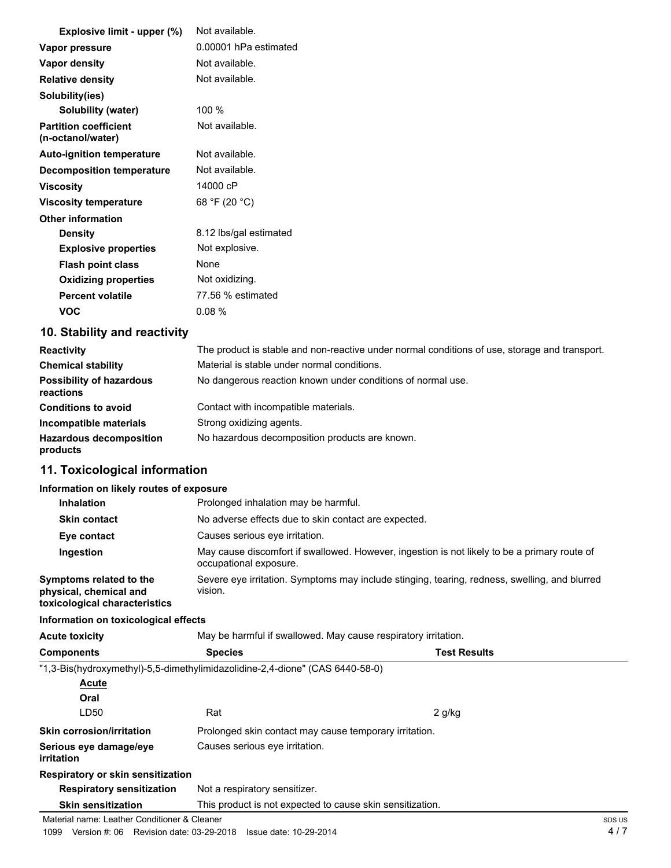| Explosive limit - upper (%)                       | Not available.         |
|---------------------------------------------------|------------------------|
| Vapor pressure                                    | 0.00001 hPa estimated  |
| <b>Vapor density</b>                              | Not available.         |
| <b>Relative density</b>                           | Not available.         |
| Solubility(ies)                                   |                        |
| <b>Solubility (water)</b>                         | 100 %                  |
| <b>Partition coefficient</b><br>(n-octanol/water) | Not available.         |
| <b>Auto-ignition temperature</b>                  | Not available.         |
| Decomposition temperature                         | Not available.         |
| <b>Viscosity</b>                                  | 14000 cP               |
| <b>Viscosity temperature</b>                      | 68 °F (20 °C)          |
| <b>Other information</b>                          |                        |
| <b>Density</b>                                    | 8.12 lbs/gal estimated |
| <b>Explosive properties</b>                       | Not explosive.         |
| <b>Flash point class</b>                          | None                   |
| <b>Oxidizing properties</b>                       | Not oxidizing.         |
| <b>Percent volatile</b>                           | 77.56 % estimated      |
| <b>VOC</b>                                        | 0.08%                  |

# **10. Stability and reactivity**

| <b>Reactivity</b>                            | The product is stable and non-reactive under normal conditions of use, storage and transport. |
|----------------------------------------------|-----------------------------------------------------------------------------------------------|
| <b>Chemical stability</b>                    | Material is stable under normal conditions.                                                   |
| <b>Possibility of hazardous</b><br>reactions | No dangerous reaction known under conditions of normal use.                                   |
| <b>Conditions to avoid</b>                   | Contact with incompatible materials.                                                          |
| Incompatible materials                       | Strong oxidizing agents.                                                                      |
| <b>Hazardous decomposition</b><br>products   | No hazardous decomposition products are known.                                                |

# **11. Toxicological information**

## **Information on likely routes of exposure**

| <b>Inhalation</b>                                                                  | Prolonged inhalation may be harmful.                                                                                   |
|------------------------------------------------------------------------------------|------------------------------------------------------------------------------------------------------------------------|
| <b>Skin contact</b>                                                                | No adverse effects due to skin contact are expected.                                                                   |
| Eye contact                                                                        | Causes serious eye irritation.                                                                                         |
| Ingestion                                                                          | May cause discomfort if swallowed. However, ingestion is not likely to be a primary route of<br>occupational exposure. |
| Symptoms related to the<br>physical, chemical and<br>toxicological characteristics | Severe eye irritation. Symptoms may include stinging, tearing, redness, swelling, and blurred<br>vision.               |

#### **Information on toxicological effects**

| <b>Acute toxicity</b>                        | May be harmful if swallowed. May cause respiratory irritation.               |                     |  |  |
|----------------------------------------------|------------------------------------------------------------------------------|---------------------|--|--|
| <b>Components</b>                            | <b>Species</b>                                                               | <b>Test Results</b> |  |  |
|                                              | "1,3-Bis(hydroxymethyl)-5,5-dimethylimidazolidine-2,4-dione" (CAS 6440-58-0) |                     |  |  |
| Acute                                        |                                                                              |                     |  |  |
| Oral                                         |                                                                              |                     |  |  |
| LD <sub>50</sub>                             | Rat                                                                          | $2$ g/kg            |  |  |
| <b>Skin corrosion/irritation</b>             | Prolonged skin contact may cause temporary irritation.                       |                     |  |  |
| Serious eye damage/eye<br>irritation         | Causes serious eye irritation.                                               |                     |  |  |
| Respiratory or skin sensitization            |                                                                              |                     |  |  |
| <b>Respiratory sensitization</b>             | Not a respiratory sensitizer.                                                |                     |  |  |
| <b>Skin sensitization</b>                    | This product is not expected to cause skin sensitization.                    |                     |  |  |
| Material name: Leather Conditioner & Cleaner |                                                                              | SDS US              |  |  |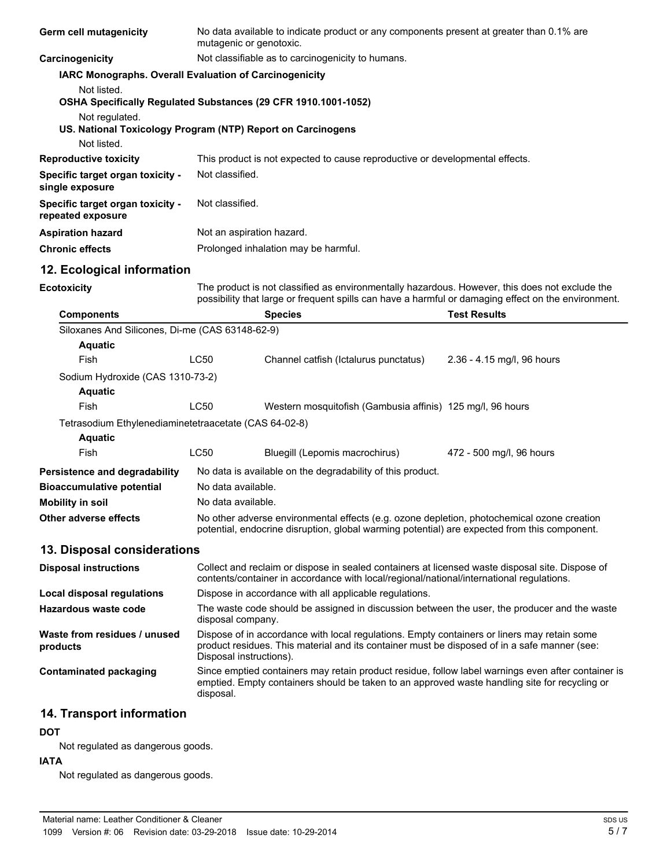| Germ cell mutagenicity                                                        | No data available to indicate product or any components present at greater than 0.1% are<br>mutagenic or genotoxic.                                                                                                    |                                                                                                                                                                                                     |                            |  |  |
|-------------------------------------------------------------------------------|------------------------------------------------------------------------------------------------------------------------------------------------------------------------------------------------------------------------|-----------------------------------------------------------------------------------------------------------------------------------------------------------------------------------------------------|----------------------------|--|--|
| Carcinogenicity                                                               | Not classifiable as to carcinogenicity to humans.                                                                                                                                                                      |                                                                                                                                                                                                     |                            |  |  |
| IARC Monographs. Overall Evaluation of Carcinogenicity                        |                                                                                                                                                                                                                        |                                                                                                                                                                                                     |                            |  |  |
| Not listed.<br>OSHA Specifically Regulated Substances (29 CFR 1910.1001-1052) |                                                                                                                                                                                                                        |                                                                                                                                                                                                     |                            |  |  |
| Not regulated.<br>US. National Toxicology Program (NTP) Report on Carcinogens |                                                                                                                                                                                                                        |                                                                                                                                                                                                     |                            |  |  |
| Not listed.                                                                   |                                                                                                                                                                                                                        |                                                                                                                                                                                                     |                            |  |  |
| <b>Reproductive toxicity</b>                                                  |                                                                                                                                                                                                                        | This product is not expected to cause reproductive or developmental effects.                                                                                                                        |                            |  |  |
| Specific target organ toxicity -<br>single exposure                           | Not classified.                                                                                                                                                                                                        |                                                                                                                                                                                                     |                            |  |  |
| Specific target organ toxicity -<br>repeated exposure                         | Not classified.                                                                                                                                                                                                        |                                                                                                                                                                                                     |                            |  |  |
| <b>Aspiration hazard</b>                                                      | Not an aspiration hazard.                                                                                                                                                                                              |                                                                                                                                                                                                     |                            |  |  |
| <b>Chronic effects</b>                                                        |                                                                                                                                                                                                                        | Prolonged inhalation may be harmful.                                                                                                                                                                |                            |  |  |
| 12. Ecological information                                                    |                                                                                                                                                                                                                        |                                                                                                                                                                                                     |                            |  |  |
| <b>Ecotoxicity</b>                                                            | The product is not classified as environmentally hazardous. However, this does not exclude the<br>possibility that large or frequent spills can have a harmful or damaging effect on the environment.                  |                                                                                                                                                                                                     |                            |  |  |
| <b>Components</b>                                                             |                                                                                                                                                                                                                        | <b>Species</b>                                                                                                                                                                                      | <b>Test Results</b>        |  |  |
| Siloxanes And Silicones, Di-me (CAS 63148-62-9)                               |                                                                                                                                                                                                                        |                                                                                                                                                                                                     |                            |  |  |
| <b>Aquatic</b>                                                                |                                                                                                                                                                                                                        |                                                                                                                                                                                                     |                            |  |  |
| Fish                                                                          | <b>LC50</b>                                                                                                                                                                                                            | Channel catfish (Ictalurus punctatus)                                                                                                                                                               | 2.36 - 4.15 mg/l, 96 hours |  |  |
| Sodium Hydroxide (CAS 1310-73-2)                                              |                                                                                                                                                                                                                        |                                                                                                                                                                                                     |                            |  |  |
| <b>Aquatic</b>                                                                |                                                                                                                                                                                                                        |                                                                                                                                                                                                     |                            |  |  |
| Fish                                                                          | <b>LC50</b>                                                                                                                                                                                                            | Western mosquitofish (Gambusia affinis) 125 mg/l, 96 hours                                                                                                                                          |                            |  |  |
| Tetrasodium Ethylenediaminetetraacetate (CAS 64-02-8)                         |                                                                                                                                                                                                                        |                                                                                                                                                                                                     |                            |  |  |
| <b>Aquatic</b><br>Fish                                                        | LC50                                                                                                                                                                                                                   | Bluegill (Lepomis macrochirus)                                                                                                                                                                      |                            |  |  |
|                                                                               |                                                                                                                                                                                                                        |                                                                                                                                                                                                     | 472 - 500 mg/l, 96 hours   |  |  |
| Persistence and degradability                                                 |                                                                                                                                                                                                                        | No data is available on the degradability of this product.                                                                                                                                          |                            |  |  |
| <b>Bioaccumulative potential</b>                                              |                                                                                                                                                                                                                        | No data available.                                                                                                                                                                                  |                            |  |  |
| <b>Mobility in soil</b>                                                       | No data available.                                                                                                                                                                                                     |                                                                                                                                                                                                     |                            |  |  |
| Other adverse effects                                                         | No other adverse environmental effects (e.g. ozone depletion, photochemical ozone creation<br>potential, endocrine disruption, global warming potential) are expected from this component.                             |                                                                                                                                                                                                     |                            |  |  |
| 13. Disposal considerations                                                   |                                                                                                                                                                                                                        |                                                                                                                                                                                                     |                            |  |  |
| <b>Disposal instructions</b>                                                  | Collect and reclaim or dispose in sealed containers at licensed waste disposal site. Dispose of<br>contents/container in accordance with local/regional/national/international regulations.                            |                                                                                                                                                                                                     |                            |  |  |
| Local disposal regulations                                                    |                                                                                                                                                                                                                        | Dispose in accordance with all applicable regulations.                                                                                                                                              |                            |  |  |
| <b>Hazardous waste code</b>                                                   | disposal company.                                                                                                                                                                                                      | The waste code should be assigned in discussion between the user, the producer and the waste                                                                                                        |                            |  |  |
| Waste from residues / unused<br>products                                      | Dispose of in accordance with local regulations. Empty containers or liners may retain some<br>product residues. This material and its container must be disposed of in a safe manner (see:<br>Disposal instructions). |                                                                                                                                                                                                     |                            |  |  |
| <b>Contaminated packaging</b>                                                 | disposal.                                                                                                                                                                                                              | Since emptied containers may retain product residue, follow label warnings even after container is<br>emptied. Empty containers should be taken to an approved waste handling site for recycling or |                            |  |  |
|                                                                               |                                                                                                                                                                                                                        |                                                                                                                                                                                                     |                            |  |  |

# **14. Transport information**

## **DOT**

Not regulated as dangerous goods.

## **IATA**

Not regulated as dangerous goods.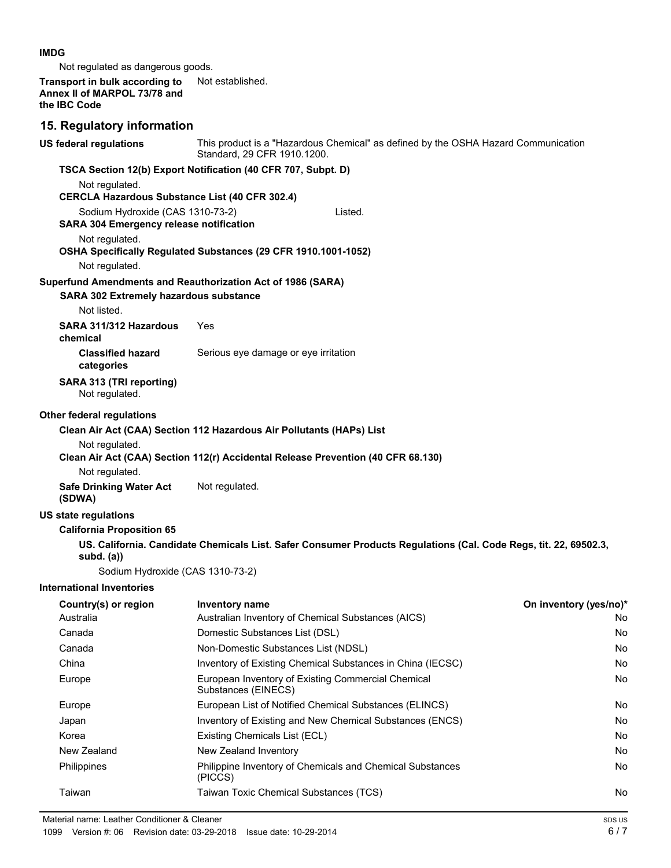#### **IMDG**

Not regulated as dangerous goods.

#### **Transport in bulk according to** Not established. Annex II of MARPOL 73/78 and **the IBC Code**

## **15. Regulatory information**

| <b>US federal regulations</b>                                                      | This product is a "Hazardous Chemical" as defined by the OSHA Hazard Communication<br>Standard, 29 CFR 1910.1200. |                        |
|------------------------------------------------------------------------------------|-------------------------------------------------------------------------------------------------------------------|------------------------|
|                                                                                    | TSCA Section 12(b) Export Notification (40 CFR 707, Subpt. D)                                                     |                        |
| Not regulated.                                                                     |                                                                                                                   |                        |
|                                                                                    | <b>CERCLA Hazardous Substance List (40 CFR 302.4)</b>                                                             |                        |
| Sodium Hydroxide (CAS 1310-73-2)<br><b>SARA 304 Emergency release notification</b> | Listed.                                                                                                           |                        |
| Not regulated.                                                                     |                                                                                                                   |                        |
| Not regulated.                                                                     | OSHA Specifically Regulated Substances (29 CFR 1910.1001-1052)                                                    |                        |
|                                                                                    | Superfund Amendments and Reauthorization Act of 1986 (SARA)                                                       |                        |
| SARA 302 Extremely hazardous substance                                             |                                                                                                                   |                        |
| Not listed.                                                                        |                                                                                                                   |                        |
| SARA 311/312 Hazardous<br>chemical                                                 | Yes                                                                                                               |                        |
| <b>Classified hazard</b><br>categories                                             | Serious eye damage or eye irritation                                                                              |                        |
| SARA 313 (TRI reporting)<br>Not regulated.                                         |                                                                                                                   |                        |
| <b>Other federal regulations</b>                                                   |                                                                                                                   |                        |
|                                                                                    | Clean Air Act (CAA) Section 112 Hazardous Air Pollutants (HAPs) List                                              |                        |
| Not regulated.                                                                     |                                                                                                                   |                        |
|                                                                                    | Clean Air Act (CAA) Section 112(r) Accidental Release Prevention (40 CFR 68.130)                                  |                        |
| Not regulated.                                                                     |                                                                                                                   |                        |
| <b>Safe Drinking Water Act</b><br>(SDWA)                                           | Not regulated.                                                                                                    |                        |
| <b>US state regulations</b>                                                        |                                                                                                                   |                        |
| <b>California Proposition 65</b>                                                   |                                                                                                                   |                        |
| subd. $(a)$                                                                        | US. California. Candidate Chemicals List. Safer Consumer Products Regulations (Cal. Code Regs, tit. 22, 69502.3,  |                        |
|                                                                                    | Sodium Hydroxide (CAS 1310-73-2)                                                                                  |                        |
| <b>International Inventories</b>                                                   |                                                                                                                   |                        |
| Country(s) or region                                                               | Inventory name                                                                                                    | On inventory (yes/no)* |
| Australia                                                                          | Australian Inventory of Chemical Substances (AICS)                                                                | No                     |
| Canada                                                                             | Domestic Substances List (DSL)                                                                                    | No                     |
| Canada                                                                             | Non-Domestic Substances List (NDSL)                                                                               | No                     |
| China                                                                              | Inventory of Existing Chemical Substances in China (IECSC)                                                        | No                     |
| Europe                                                                             | European Inventory of Existing Commercial Chemical<br>Substances (EINECS)                                         | No                     |
| Europe                                                                             | European List of Notified Chemical Substances (ELINCS)                                                            | No                     |
| Japan                                                                              | Inventory of Existing and New Chemical Substances (ENCS)                                                          | No                     |
| Korea                                                                              | Existing Chemicals List (ECL)                                                                                     | No                     |
| New Zealand                                                                        | New Zealand Inventory                                                                                             | No                     |
| Philippines                                                                        | Philippine Inventory of Chemicals and Chemical Substances<br>(PICCS)                                              | No                     |
| Taiwan                                                                             | Taiwan Toxic Chemical Substances (TCS)                                                                            | No                     |